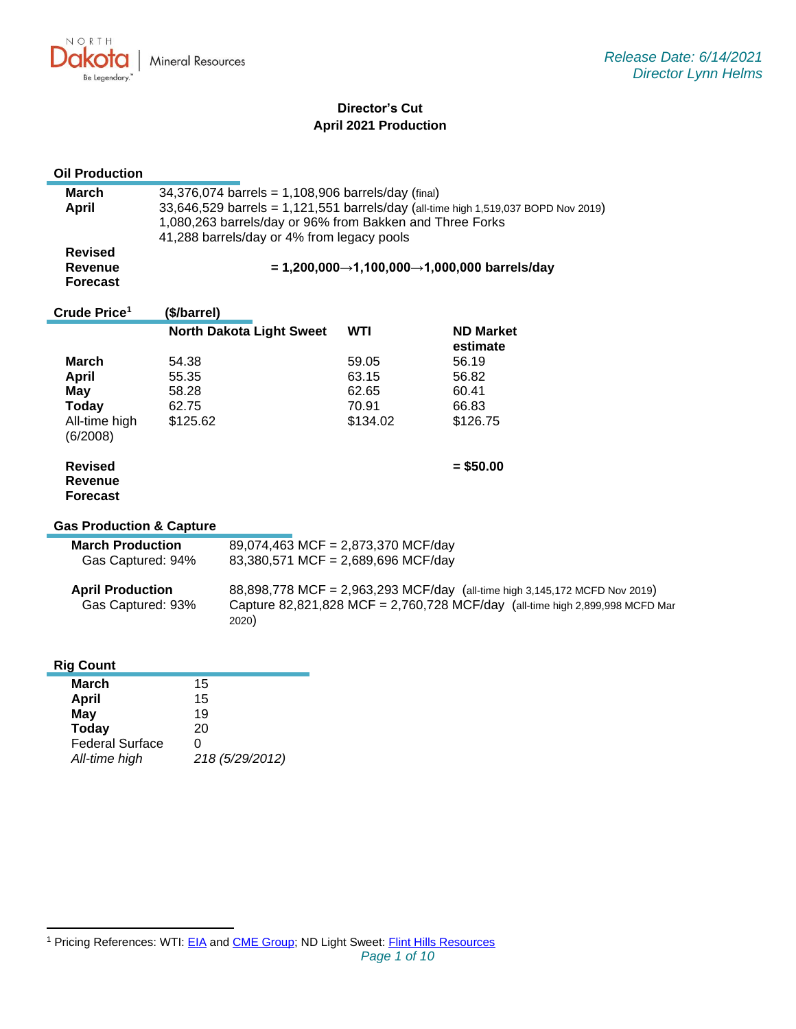NORTH ukv. Mineral Resources O Be Legendary.

# **Director's Cut April 2021 Production**

| <b>Oil Production</b>                                                                          |                                              |                                                                                                                                                                     |                                              |                                                                                    |  |
|------------------------------------------------------------------------------------------------|----------------------------------------------|---------------------------------------------------------------------------------------------------------------------------------------------------------------------|----------------------------------------------|------------------------------------------------------------------------------------|--|
| <b>March</b><br><b>April</b>                                                                   |                                              | 34,376,074 barrels = 1,108,906 barrels/day (final)<br>1,080,263 barrels/day or 96% from Bakken and Three Forks<br>41,288 barrels/day or 4% from legacy pools        |                                              | 33,646,529 barrels = 1,121,551 barrels/day (all-time high 1,519,037 BOPD Nov 2019) |  |
| <b>Revised</b><br><b>Revenue</b><br><b>Forecast</b>                                            | = 1,200,000→1,100,000→1,000,000 barrels/day  |                                                                                                                                                                     |                                              |                                                                                    |  |
| Crude Price <sup>1</sup>                                                                       | (\$/barrel)                                  |                                                                                                                                                                     |                                              |                                                                                    |  |
|                                                                                                |                                              | <b>North Dakota Light Sweet</b>                                                                                                                                     | <b>WTI</b>                                   | <b>ND Market</b><br>estimate                                                       |  |
| <b>March</b><br><b>April</b><br><b>May</b><br><b>Today</b><br>All-time high<br>(6/2008)        | 54.38<br>55.35<br>58.28<br>62.75<br>\$125.62 |                                                                                                                                                                     | 59.05<br>63.15<br>62.65<br>70.91<br>\$134.02 | 56.19<br>56.82<br>60.41<br>66.83<br>\$126.75                                       |  |
| <b>Revised</b><br><b>Revenue</b><br><b>Forecast</b>                                            |                                              |                                                                                                                                                                     |                                              | $= $50.00$                                                                         |  |
| <b>Gas Production &amp; Capture</b>                                                            |                                              |                                                                                                                                                                     |                                              |                                                                                    |  |
| <b>March Production</b><br>Gas Captured: 94%                                                   |                                              | 89,074,463 MCF = 2,873,370 MCF/day<br>83,380,571 MCF = 2,689,696 MCF/day                                                                                            |                                              |                                                                                    |  |
| <b>April Production</b><br>Gas Captured: 93%                                                   |                                              | 88,898,778 MCF = 2,963,293 MCF/day (all-time high 3,145,172 MCFD Nov 2019)<br>Capture 82,821,828 MCF = 2,760,728 MCF/day (all-time high 2,899,998 MCFD Mar<br>2020) |                                              |                                                                                    |  |
| <b>Rig Count</b>                                                                               |                                              |                                                                                                                                                                     |                                              |                                                                                    |  |
| <b>March</b><br>April<br><b>May</b><br><b>Today</b><br><b>Federal Surface</b><br>All-time high | 15<br>15<br>19<br>20<br>0                    | 218 (5/29/2012)                                                                                                                                                     |                                              |                                                                                    |  |

<sup>&</sup>lt;sup>1</sup> Pricing References: WTI: [EIA](https://www.eia.gov/dnav/pet/hist/LeafHandler.ashx?n=PET&s=RCLC1&f=M) and [CME Group;](https://www.cmegroup.com/trading/energy/crude-oil/light-sweet-crude.html) ND Light Sweet: [Flint Hills Resources](https://www.fhr.com/products-services/fuels-and-aromatics)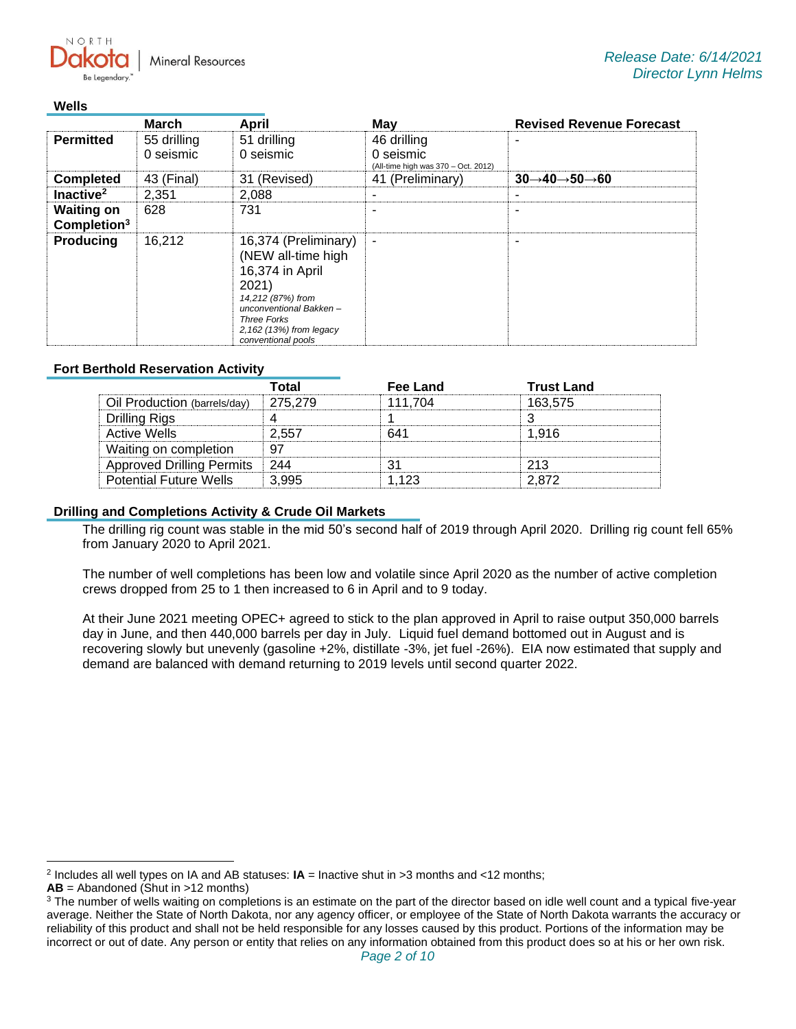**Mineral Resources** 

### **Wells**

 $N$   $\cap$   $R$   $T$   $\vdash$ 

|                                              | <b>March</b>             | April                                                                                                                                                                                        | May                                                             | <b>Revised Revenue Forecast</b>                   |
|----------------------------------------------|--------------------------|----------------------------------------------------------------------------------------------------------------------------------------------------------------------------------------------|-----------------------------------------------------------------|---------------------------------------------------|
| <b>Permitted</b>                             | 55 drilling<br>0 seismic | 51 drilling<br>0 seismic                                                                                                                                                                     | 46 drilling<br>0 seismic<br>(All-time high was 370 - Oct. 2012) |                                                   |
| <b>Completed</b>                             | 43 (Final)               | 31 (Revised)                                                                                                                                                                                 | 41 (Preliminary)                                                | $30 \rightarrow 40 \rightarrow 50 \rightarrow 60$ |
| Inactive <sup>2</sup>                        | 2,351                    | 2,088                                                                                                                                                                                        |                                                                 |                                                   |
| <b>Waiting on</b><br>Completion <sup>3</sup> | 628                      | 731                                                                                                                                                                                          |                                                                 | -                                                 |
| <b>Producing</b>                             | 16.212                   | 16,374 (Preliminary)<br>(NEW all-time high<br>16,374 in April<br>2021)<br>14,212 (87%) from<br>unconventional Bakken-<br><b>Three Forks</b><br>2,162 (13%) from legacy<br>conventional pools | ٠                                                               | ۰                                                 |

## **Fort Berthold Reservation Activity**

|                                  | Total   | <b>Fee Land</b> | <b>Trust Land</b> |
|----------------------------------|---------|-----------------|-------------------|
| Oil Production (barrels/day)     | 275.279 | 111.704         | 163,575           |
| Drilling Rigs                    |         |                 |                   |
| <b>Active Wells</b>              | 2.557   |                 | 1.916             |
| Waiting on completion            |         |                 |                   |
| <b>Approved Drilling Permits</b> | 244     |                 | 213               |
| <b>Potential Future Wells</b>    | 3.995   | 1 123           | 2.872             |

## **Drilling and Completions Activity & Crude Oil Markets**

The drilling rig count was stable in the mid 50's second half of 2019 through April 2020. Drilling rig count fell 65% from January 2020 to April 2021.

The number of well completions has been low and volatile since April 2020 as the number of active completion crews dropped from 25 to 1 then increased to 6 in April and to 9 today.

At their June 2021 meeting OPEC+ agreed to stick to the plan approved in April to raise output 350,000 barrels day in June, and then 440,000 barrels per day in July. Liquid fuel demand bottomed out in August and is recovering slowly but unevenly (gasoline +2%, distillate -3%, jet fuel -26%). EIA now estimated that supply and demand are balanced with demand returning to 2019 levels until second quarter 2022.

<sup>2</sup> Includes all well types on IA and AB statuses: **IA** = Inactive shut in >3 months and <12 months;

**AB** = Abandoned (Shut in >12 months)

<sup>&</sup>lt;sup>3</sup> The number of wells waiting on completions is an estimate on the part of the director based on idle well count and a typical five-year average. Neither the State of North Dakota, nor any agency officer, or employee of the State of North Dakota warrants the accuracy or reliability of this product and shall not be held responsible for any losses caused by this product. Portions of the information may be incorrect or out of date. Any person or entity that relies on any information obtained from this product does so at his or her own risk.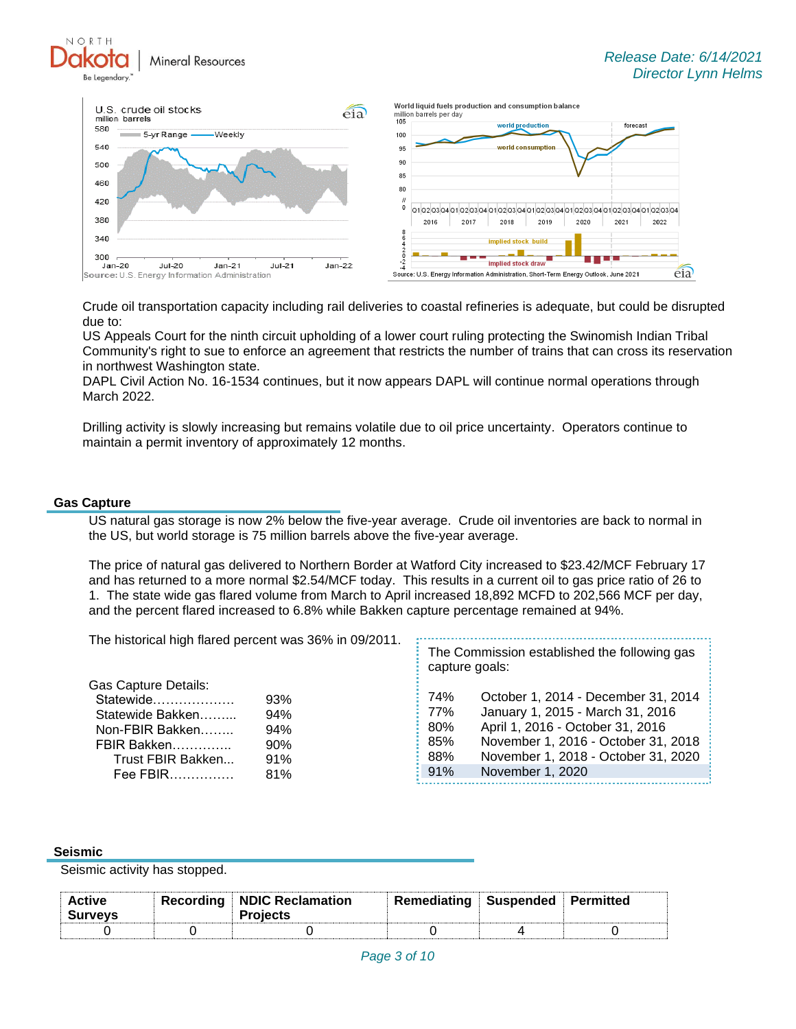**Mineral Resources** 



Crude oil transportation capacity including rail deliveries to coastal refineries is adequate, but could be disrupted due to:

US Appeals Court for the ninth circuit upholding of a lower court ruling protecting the Swinomish Indian Tribal Community's right to sue to enforce an agreement that restricts the number of trains that can cross its reservation in northwest Washington state.

DAPL Civil Action No. 16-1534 continues, but it now appears DAPL will continue normal operations through March 2022.

Drilling activity is slowly increasing but remains volatile due to oil price uncertainty. Operators continue to maintain a permit inventory of approximately 12 months.

#### **Gas Capture**

NORTH

US natural gas storage is now 2% below the five-year average. Crude oil inventories are back to normal in the US, but world storage is 75 million barrels above the five-year average.

The price of natural gas delivered to Northern Border at Watford City increased to \$23.42/MCF February 17 and has returned to a more normal \$2.54/MCF today. This results in a current oil to gas price ratio of 26 to 1. The state wide gas flared volume from March to April increased 18,892 MCFD to 202,566 MCF per day, and the percent flared increased to 6.8% while Bakken capture percentage remained at 94%.

| The historical high flared percent was 36% in 09/2011.                                                                          |                                        | The Commission established the following gas<br>capture goals: |                                                                                                                                                                                                               |
|---------------------------------------------------------------------------------------------------------------------------------|----------------------------------------|----------------------------------------------------------------|---------------------------------------------------------------------------------------------------------------------------------------------------------------------------------------------------------------|
| <b>Gas Capture Details:</b><br>Statewide<br>Statewide Bakken<br>Non-FBIR Bakken<br>FBIR Bakken<br>Trust FBIR Bakken<br>Fee FBIR | 93%<br>94%<br>94%<br>90%<br>91%<br>81% | 74%<br>77%<br>80%<br>85%<br>88%<br>91%                         | October 1, 2014 - December 31, 2014<br>January 1, 2015 - March 31, 2016<br>April 1, 2016 - October 31, 2016<br>November 1, 2016 - October 31, 2018<br>November 1, 2018 - October 31, 2020<br>November 1, 2020 |

#### **Seismic**

Seismic activity has stopped.

| <b>Active</b><br><b>Surveys</b> | <b>Recording NDIC Reclamation</b><br><b>Projects</b> | Remediating Suspended Permitted |  |
|---------------------------------|------------------------------------------------------|---------------------------------|--|
|                                 |                                                      |                                 |  |
|                                 |                                                      |                                 |  |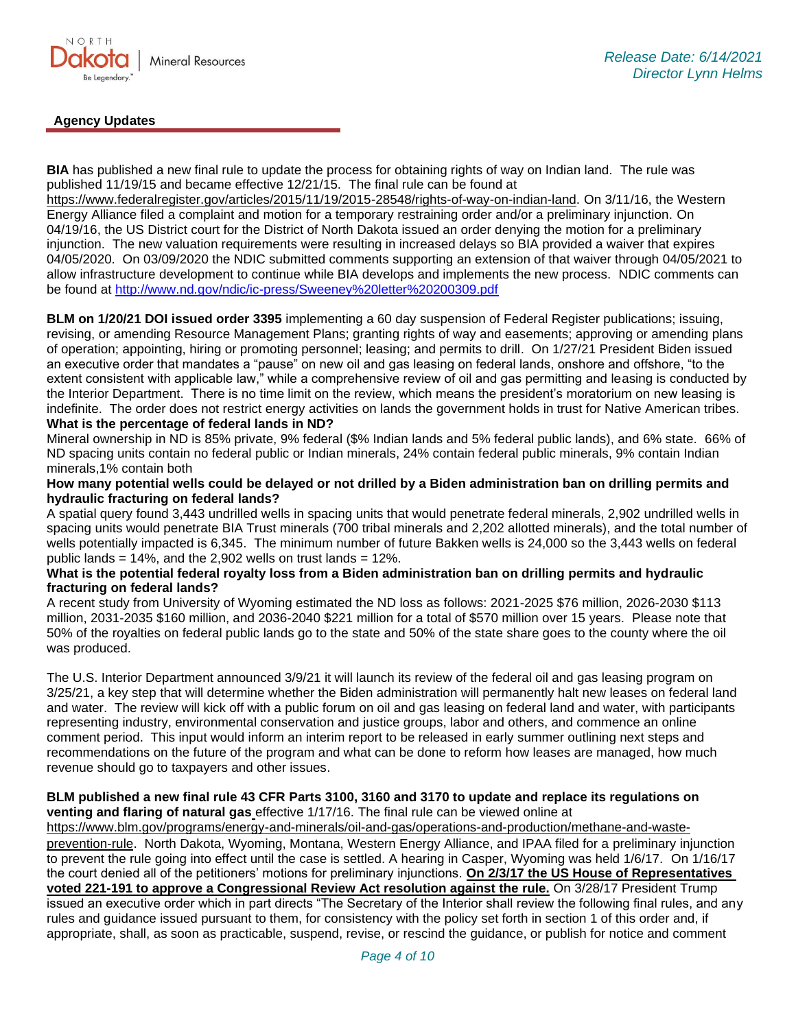

# **Agency Updates**

**BIA** has published a new final rule to update the process for obtaining rights of way on Indian land. The rule was published 11/19/15 and became effective 12/21/15. The final rule can be found at

[https://www.federalregister.gov/articles/2015/11/19/2015-28548/rights-of-way-on-indian-land.](https://gcc02.safelinks.protection.outlook.com/?url=https%3A%2F%2Fwww.federalregister.gov%2Farticles%2F2015%2F11%2F19%2F2015-28548%2Frights-of-way-on-indian-land&data=04%7C01%7Ckahaarsager%40nd.gov%7C6928b6351bcb4a1a121b08d8b9647a47%7C2dea0464da514a88bae2b3db94bc0c54%7C0%7C0%7C637463188508268796%7CUnknown%7CTWFpbGZsb3d8eyJWIjoiMC4wLjAwMDAiLCJQIjoiV2luMzIiLCJBTiI6Ik1haWwiLCJXVCI6Mn0%3D%7C1000&sdata=a5l0ZWxiv927whetB9b%2F6DI4m6QOmSlIFot7WWc%2FKto%3D&reserved=0) On 3/11/16, the Western Energy Alliance filed a complaint and motion for a temporary restraining order and/or a preliminary injunction. On 04/19/16, the US District court for the District of North Dakota issued an order denying the motion for a preliminary injunction. The new valuation requirements were resulting in increased delays so BIA provided a waiver that expires 04/05/2020. On 03/09/2020 the NDIC submitted comments supporting an extension of that waiver through 04/05/2021 to allow infrastructure development to continue while BIA develops and implements the new process. NDIC comments can be found at<http://www.nd.gov/ndic/ic-press/Sweeney%20letter%20200309.pdf>

**BLM on 1/20/21 DOI issued order 3395** implementing a 60 day suspension of Federal Register publications; issuing, revising, or amending Resource Management Plans; granting rights of way and easements; approving or amending plans of operation; appointing, hiring or promoting personnel; leasing; and permits to drill. On 1/27/21 President Biden issued an executive order that mandates a "pause" on new oil and gas leasing on federal lands, onshore and offshore, "to the extent consistent with applicable law," while a comprehensive review of oil and gas permitting and leasing is conducted by the Interior Department. There is no time limit on the review, which means the president's moratorium on new leasing is indefinite. The order does not restrict energy activities on lands the government holds in trust for Native American tribes.

### **What is the percentage of federal lands in ND?**

Mineral ownership in ND is 85% private, 9% federal (\$% Indian lands and 5% federal public lands), and 6% state. 66% of ND spacing units contain no federal public or Indian minerals, 24% contain federal public minerals, 9% contain Indian minerals,1% contain both

## **How many potential wells could be delayed or not drilled by a Biden administration ban on drilling permits and hydraulic fracturing on federal lands?**

A spatial query found 3,443 undrilled wells in spacing units that would penetrate federal minerals, 2,902 undrilled wells in spacing units would penetrate BIA Trust minerals (700 tribal minerals and 2,202 allotted minerals), and the total number of wells potentially impacted is 6,345. The minimum number of future Bakken wells is 24,000 so the 3,443 wells on federal public lands =  $14\%$ , and the 2,902 wells on trust lands =  $12\%$ .

#### **What is the potential federal royalty loss from a Biden administration ban on drilling permits and hydraulic fracturing on federal lands?**

A recent study from University of Wyoming estimated the ND loss as follows: 2021-2025 \$76 million, 2026-2030 \$113 million, 2031-2035 \$160 million, and 2036-2040 \$221 million for a total of \$570 million over 15 years. Please note that 50% of the royalties on federal public lands go to the state and 50% of the state share goes to the county where the oil was produced.

The U.S. Interior Department announced 3/9/21 it will launch its review of the federal oil and gas leasing program on 3/25/21, a key step that will determine whether the Biden administration will permanently halt new leases on federal land and water. The review will kick off with a public forum on oil and gas leasing on federal land and water, with participants representing industry, environmental conservation and justice groups, labor and others, and commence an online comment period. This input would inform an interim report to be released in early summer outlining next steps and recommendations on the future of the program and what can be done to reform how leases are managed, how much revenue should go to taxpayers and other issues.

#### **BLM published a new final rule 43 CFR Parts 3100, 3160 and 3170 to update and replace its regulations on venting and flaring of natural gas** effective 1/17/16. The final rule can be viewed online at

[https://www.blm.gov/programs/energy-and-minerals/oil-and-gas/operations-and-production/methane-and-waste](https://gcc02.safelinks.protection.outlook.com/?url=https%3A%2F%2Fwww.blm.gov%2Fprograms%2Fenergy-and-minerals%2Foil-and-gas%2Foperations-and-production%2Fmethane-and-waste-prevention-rule&data=04%7C01%7Ckahaarsager%40nd.gov%7Cc86d7059abc9489b14ff08d916f480a3%7C2dea0464da514a88bae2b3db94bc0c54%7C0%7C0%7C637566061644315313%7CUnknown%7CTWFpbGZsb3d8eyJWIjoiMC4wLjAwMDAiLCJQIjoiV2luMzIiLCJBTiI6Ik1haWwiLCJXVCI6Mn0%3D%7C1000&sdata=E9QY64nYsGl%2FM5qCk66YKABvr%2FAGHOeStDAR6HIERrs%3D&reserved=0)[prevention-rule](https://gcc02.safelinks.protection.outlook.com/?url=https%3A%2F%2Fwww.blm.gov%2Fprograms%2Fenergy-and-minerals%2Foil-and-gas%2Foperations-and-production%2Fmethane-and-waste-prevention-rule&data=04%7C01%7Ckahaarsager%40nd.gov%7Cc86d7059abc9489b14ff08d916f480a3%7C2dea0464da514a88bae2b3db94bc0c54%7C0%7C0%7C637566061644315313%7CUnknown%7CTWFpbGZsb3d8eyJWIjoiMC4wLjAwMDAiLCJQIjoiV2luMzIiLCJBTiI6Ik1haWwiLCJXVCI6Mn0%3D%7C1000&sdata=E9QY64nYsGl%2FM5qCk66YKABvr%2FAGHOeStDAR6HIERrs%3D&reserved=0). North Dakota, Wyoming, Montana, Western Energy Alliance, and IPAA filed for a preliminary injunction to prevent the rule going into effect until the case is settled. A hearing in Casper, Wyoming was held 1/6/17. On 1/16/17 the court denied all of the petitioners' motions for preliminary injunctions. **On 2/3/17 the US House of Representatives voted 221-191 to approve a Congressional Review Act resolution against the rule.** On 3/28/17 President Trump issued an executive order which in part directs "The Secretary of the Interior shall review the following final rules, and any rules and guidance issued pursuant to them, for consistency with the policy set forth in section 1 of this order and, if appropriate, shall, as soon as practicable, suspend, revise, or rescind the guidance, or publish for notice and comment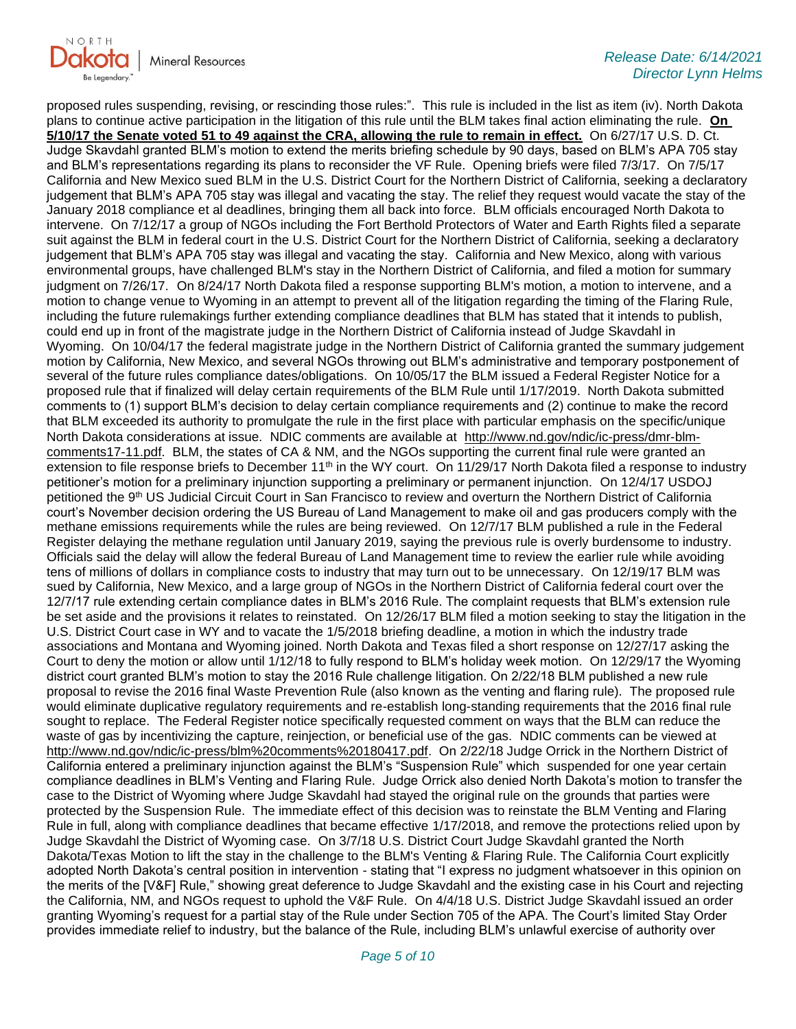

proposed rules suspending, revising, or rescinding those rules:". This rule is included in the list as item (iv). North Dakota plans to continue active participation in the litigation of this rule until the BLM takes final action eliminating the rule. **On 5/10/17 the Senate voted 51 to 49 against the CRA, allowing the rule to remain in effect.** On 6/27/17 U.S. D. Ct. Judge Skavdahl granted BLM's motion to extend the merits briefing schedule by 90 days, based on BLM's APA 705 stay and BLM's representations regarding its plans to reconsider the VF Rule. Opening briefs were filed 7/3/17. On 7/5/17 California and New Mexico sued BLM in the U.S. District Court for the Northern District of California, seeking a declaratory judgement that BLM's APA 705 stay was illegal and vacating the stay. The relief they request would vacate the stay of the January 2018 compliance et al deadlines, bringing them all back into force. BLM officials encouraged North Dakota to intervene. On 7/12/17 a group of NGOs including the Fort Berthold Protectors of Water and Earth Rights filed a separate suit against the BLM in federal court in the U.S. District Court for the Northern District of California, seeking a declaratory judgement that BLM's APA 705 stay was illegal and vacating the stay. California and New Mexico, along with various environmental groups, have challenged BLM's stay in the Northern District of California, and filed a motion for summary judgment on 7/26/17. On 8/24/17 North Dakota filed a response supporting BLM's motion, a motion to intervene, and a motion to change venue to Wyoming in an attempt to prevent all of the litigation regarding the timing of the Flaring Rule, including the future rulemakings further extending compliance deadlines that BLM has stated that it intends to publish, could end up in front of the magistrate judge in the Northern District of California instead of Judge Skavdahl in Wyoming. On 10/04/17 the federal magistrate judge in the Northern District of California granted the summary judgement motion by California, New Mexico, and several NGOs throwing out BLM's administrative and temporary postponement of several of the future rules compliance dates/obligations. On 10/05/17 the BLM issued a Federal Register Notice for a proposed rule that if finalized will delay certain requirements of the BLM Rule until 1/17/2019. North Dakota submitted comments to (1) support BLM's decision to delay certain compliance requirements and (2) continue to make the record that BLM exceeded its authority to promulgate the rule in the first place with particular emphasis on the specific/unique North Dakota considerations at issue. NDIC comments are available at [http://www.nd.gov/ndic/ic-press/dmr-blm](http://www.nd.gov/ndic/ic-press/dmr-blm-comments17-11.pdf)[comments17-11.pdf.](http://www.nd.gov/ndic/ic-press/dmr-blm-comments17-11.pdf) BLM, the states of CA & NM, and the NGOs supporting the current final rule were granted an extension to file response briefs to December  $11<sup>th</sup>$  in the WY court. On  $11/29/17$  North Dakota filed a response to industry petitioner's motion for a preliminary injunction supporting a preliminary or permanent injunction. On 12/4/17 USDOJ petitioned the 9th US Judicial Circuit Court in San Francisco to review and overturn the Northern District of California court's November decision ordering the US Bureau of Land Management to make oil and gas producers comply with the methane emissions requirements while the rules are being reviewed. On 12/7/17 BLM published a rule in the Federal Register delaying the methane regulation until January 2019, saying the previous rule is overly burdensome to industry. Officials said the delay will allow the federal Bureau of Land Management time to review the earlier rule while avoiding tens of millions of dollars in compliance costs to industry that may turn out to be unnecessary. On 12/19/17 BLM was sued by California, New Mexico, and a large group of NGOs in the Northern District of California federal court over the 12/7/17 rule extending certain compliance dates in BLM's 2016 Rule. The complaint requests that BLM's extension rule be set aside and the provisions it relates to reinstated. On 12/26/17 BLM filed a motion seeking to stay the litigation in the U.S. District Court case in WY and to vacate the 1/5/2018 briefing deadline, a motion in which the industry trade associations and Montana and Wyoming joined. North Dakota and Texas filed a short response on 12/27/17 asking the Court to deny the motion or allow until 1/12/18 to fully respond to BLM's holiday week motion. On 12/29/17 the Wyoming district court granted BLM's motion to stay the 2016 Rule challenge litigation. On 2/22/18 BLM published a new rule proposal to revise the 2016 final Waste Prevention Rule (also known as the venting and flaring rule). The proposed rule would eliminate duplicative regulatory requirements and re-establish long-standing requirements that the 2016 final rule sought to replace. The Federal Register notice specifically requested comment on ways that the BLM can reduce the waste of gas by incentivizing the capture, reinjection, or beneficial use of the gas. NDIC comments can be viewed at [http://www.nd.gov/ndic/ic-press/blm%20comments%20180417.pdf.](http://www.nd.gov/ndic/ic-press/blm%20comments%20180417.pdf) On 2/22/18 Judge Orrick in the Northern District of California entered a preliminary injunction against the BLM's "Suspension Rule" which suspended for one year certain compliance deadlines in BLM's Venting and Flaring Rule. Judge Orrick also denied North Dakota's motion to transfer the case to the District of Wyoming where Judge Skavdahl had stayed the original rule on the grounds that parties were protected by the Suspension Rule. The immediate effect of this decision was to reinstate the BLM Venting and Flaring Rule in full, along with compliance deadlines that became effective 1/17/2018, and remove the protections relied upon by Judge Skavdahl the District of Wyoming case. On 3/7/18 U.S. District Court Judge Skavdahl granted the North Dakota/Texas Motion to lift the stay in the challenge to the BLM's Venting & Flaring Rule. The California Court explicitly adopted North Dakota's central position in intervention - stating that "I express no judgment whatsoever in this opinion on the merits of the [V&F] Rule," showing great deference to Judge Skavdahl and the existing case in his Court and rejecting the California, NM, and NGOs request to uphold the V&F Rule. On 4/4/18 U.S. District Judge Skavdahl issued an order granting Wyoming's request for a partial stay of the Rule under Section 705 of the APA. The Court's limited Stay Order provides immediate relief to industry, but the balance of the Rule, including BLM's unlawful exercise of authority over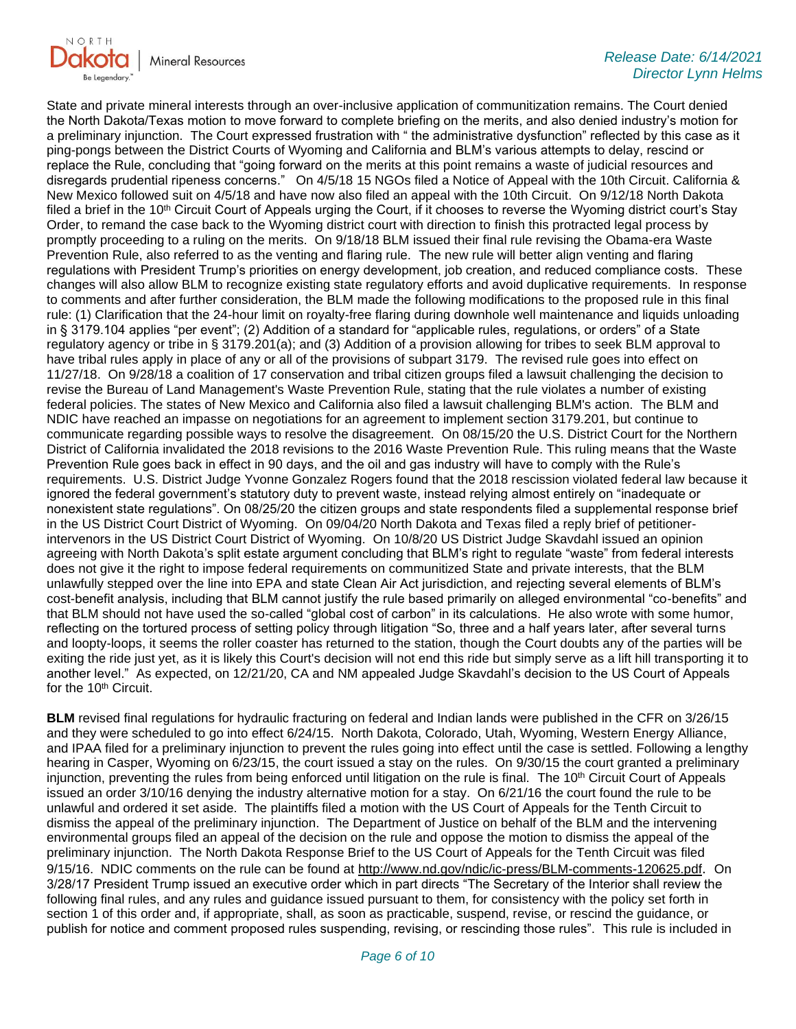

State and private mineral interests through an over-inclusive application of communitization remains. The Court denied the North Dakota/Texas motion to move forward to complete briefing on the merits, and also denied industry's motion for a preliminary injunction. The Court expressed frustration with " the administrative dysfunction" reflected by this case as it ping-pongs between the District Courts of Wyoming and California and BLM's various attempts to delay, rescind or replace the Rule, concluding that "going forward on the merits at this point remains a waste of judicial resources and disregards prudential ripeness concerns." On 4/5/18 15 NGOs filed a Notice of Appeal with the 10th Circuit. California & New Mexico followed suit on 4/5/18 and have now also filed an appeal with the 10th Circuit. On 9/12/18 North Dakota filed a brief in the 10<sup>th</sup> Circuit Court of Appeals urging the Court, if it chooses to reverse the Wyoming district court's Stay Order, to remand the case back to the Wyoming district court with direction to finish this protracted legal process by promptly proceeding to a ruling on the merits. On 9/18/18 BLM issued their final rule revising the Obama-era Waste Prevention Rule, also referred to as the venting and flaring rule. The new rule will better align venting and flaring regulations with President Trump's priorities on energy development, job creation, and reduced compliance costs. These changes will also allow BLM to recognize existing state regulatory efforts and avoid duplicative requirements. In response to comments and after further consideration, the BLM made the following modifications to the proposed rule in this final rule: (1) Clarification that the 24-hour limit on royalty-free flaring during downhole well maintenance and liquids unloading in § 3179.104 applies "per event"; (2) Addition of a standard for "applicable rules, regulations, or orders" of a State regulatory agency or tribe in § 3179.201(a); and (3) Addition of a provision allowing for tribes to seek BLM approval to have tribal rules apply in place of any or all of the provisions of subpart 3179. The revised rule goes into effect on 11/27/18. On 9/28/18 a coalition of 17 conservation and tribal citizen groups filed a lawsuit challenging the decision to revise the Bureau of Land Management's Waste Prevention Rule, stating that the rule violates a number of existing federal policies. The states of New Mexico and California also filed a lawsuit challenging BLM's action. The BLM and NDIC have reached an impasse on negotiations for an agreement to implement section 3179.201, but continue to communicate regarding possible ways to resolve the disagreement. On 08/15/20 the U.S. District Court for the Northern District of California invalidated the 2018 revisions to the 2016 Waste Prevention Rule. This ruling means that the Waste Prevention Rule goes back in effect in 90 days, and the oil and gas industry will have to comply with the Rule's requirements. U.S. District Judge Yvonne Gonzalez Rogers found that the 2018 rescission violated federal law because it ignored the federal government's statutory duty to prevent waste, instead relying almost entirely on "inadequate or nonexistent state regulations". On 08/25/20 the citizen groups and state respondents filed a supplemental response brief in the US District Court District of Wyoming. On 09/04/20 North Dakota and Texas filed a reply brief of petitionerintervenors in the US District Court District of Wyoming. On 10/8/20 US District Judge Skavdahl issued an opinion agreeing with North Dakota's split estate argument concluding that BLM's right to regulate "waste" from federal interests does not give it the right to impose federal requirements on communitized State and private interests, that the BLM unlawfully stepped over the line into EPA and state Clean Air Act jurisdiction, and rejecting several elements of BLM's cost-benefit analysis, including that BLM cannot justify the rule based primarily on alleged environmental "co-benefits" and that BLM should not have used the so-called "global cost of carbon" in its calculations. He also wrote with some humor, reflecting on the tortured process of setting policy through litigation "So, three and a half years later, after several turns and loopty-loops, it seems the roller coaster has returned to the station, though the Court doubts any of the parties will be exiting the ride just yet, as it is likely this Court's decision will not end this ride but simply serve as a lift hill transporting it to another level." As expected, on 12/21/20, CA and NM appealed Judge Skavdahl's decision to the US Court of Appeals for the 10<sup>th</sup> Circuit.

**BLM** revised final regulations for hydraulic fracturing on federal and Indian lands were published in the CFR on 3/26/15 and they were scheduled to go into effect 6/24/15. North Dakota, Colorado, Utah, Wyoming, Western Energy Alliance, and IPAA filed for a preliminary injunction to prevent the rules going into effect until the case is settled. Following a lengthy hearing in Casper, Wyoming on 6/23/15, the court issued a stay on the rules. On 9/30/15 the court granted a preliminary injunction, preventing the rules from being enforced until litigation on the rule is final. The  $10<sup>th</sup>$  Circuit Court of Appeals issued an order 3/10/16 denying the industry alternative motion for a stay. On 6/21/16 the court found the rule to be unlawful and ordered it set aside. The plaintiffs filed a motion with the US Court of Appeals for the Tenth Circuit to dismiss the appeal of the preliminary injunction. The Department of Justice on behalf of the BLM and the intervening environmental groups filed an appeal of the decision on the rule and oppose the motion to dismiss the appeal of the preliminary injunction. The North Dakota Response Brief to the US Court of Appeals for the Tenth Circuit was filed 9/15/16. NDIC comments on the rule can be found at<http://www.nd.gov/ndic/ic-press/BLM-comments-120625.pdf>. On 3/28/17 President Trump issued an executive order which in part directs "The Secretary of the Interior shall review the following final rules, and any rules and guidance issued pursuant to them, for consistency with the policy set forth in section 1 of this order and, if appropriate, shall, as soon as practicable, suspend, revise, or rescind the guidance, or publish for notice and comment proposed rules suspending, revising, or rescinding those rules". This rule is included in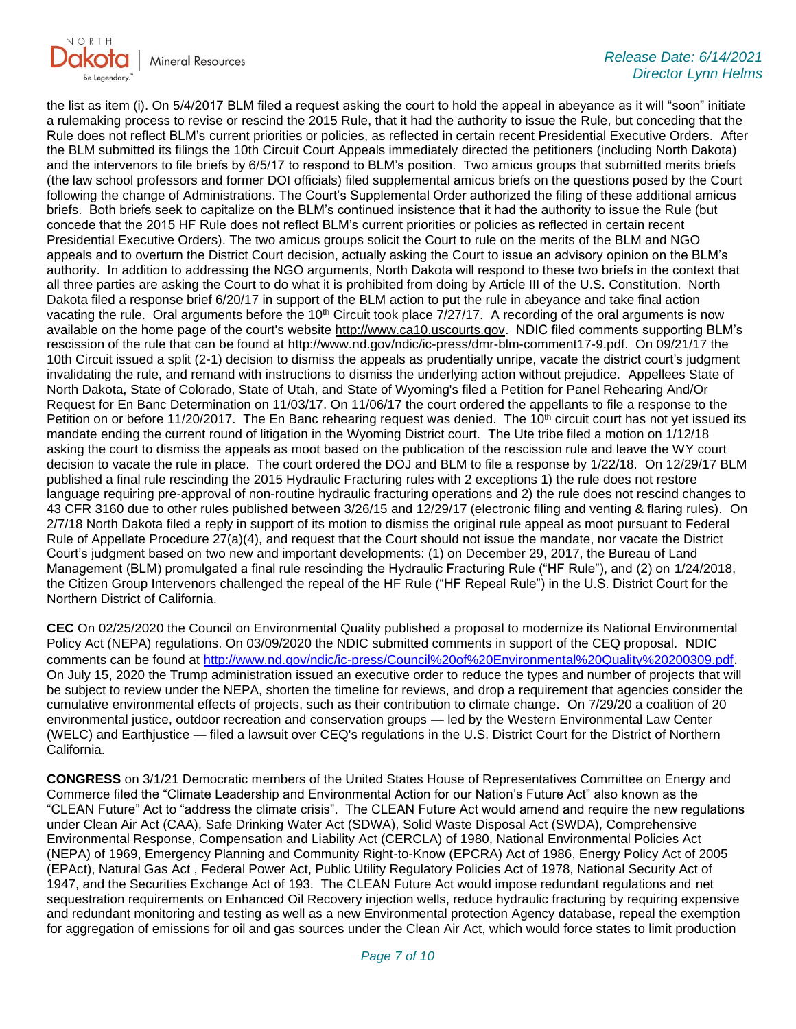

the list as item (i). On 5/4/2017 BLM filed a request asking the court to hold the appeal in abeyance as it will "soon" initiate a rulemaking process to revise or rescind the 2015 Rule, that it had the authority to issue the Rule, but conceding that the Rule does not reflect BLM's current priorities or policies, as reflected in certain recent Presidential Executive Orders. After the BLM submitted its filings the 10th Circuit Court Appeals immediately directed the petitioners (including North Dakota) and the intervenors to file briefs by 6/5/17 to respond to BLM's position. Two amicus groups that submitted merits briefs (the law school professors and former DOI officials) filed supplemental amicus briefs on the questions posed by the Court following the change of Administrations. The Court's Supplemental Order authorized the filing of these additional amicus briefs. Both briefs seek to capitalize on the BLM's continued insistence that it had the authority to issue the Rule (but concede that the 2015 HF Rule does not reflect BLM's current priorities or policies as reflected in certain recent Presidential Executive Orders). The two amicus groups solicit the Court to rule on the merits of the BLM and NGO appeals and to overturn the District Court decision, actually asking the Court to issue an advisory opinion on the BLM's authority. In addition to addressing the NGO arguments, North Dakota will respond to these two briefs in the context that all three parties are asking the Court to do what it is prohibited from doing by Article III of the U.S. Constitution. North Dakota filed a response brief 6/20/17 in support of the BLM action to put the rule in abeyance and take final action vacating the rule. Oral arguments before the 10<sup>th</sup> Circuit took place 7/27/17. A recording of the oral arguments is now available on the home page of the court's website [http://www.ca10.uscourts.gov.](https://gcc02.safelinks.protection.outlook.com/?url=https%3A%2F%2Furldefense.proofpoint.com%2Fv2%2Furl%3Fu%3Dhttp-3A__www.ca10.uscourts.gov%26d%3DDwMGaQ%26c%3D2s2mvbfY0UoSKkl6_Ol9wg%26r%3D-wqsZnBxny594KY8HeElow%26m%3DUl_VtJUX6iW5pvHjCcBxUWtskC0F4Dhry3sPtcEHvCw%26s%3DlaRHiLDv5w8otcQWQjpn82WMieoB2AZ-Q4M1LFQPL5s%26e%3D&data=04%7C01%7Ckahaarsager%40nd.gov%7Cc86d7059abc9489b14ff08d916f480a3%7C2dea0464da514a88bae2b3db94bc0c54%7C0%7C0%7C637566061644315313%7CUnknown%7CTWFpbGZsb3d8eyJWIjoiMC4wLjAwMDAiLCJQIjoiV2luMzIiLCJBTiI6Ik1haWwiLCJXVCI6Mn0%3D%7C1000&sdata=ECaKoYeHWK3DmDuydj9Bb0Wx8xrZGDnfo%2FvHrRalFKQ%3D&reserved=0) NDIC filed comments supporting BLM's rescission of the rule that can be found at [http://www.nd.gov/ndic/ic-press/dmr-blm-comment17-9.pdf.](http://www.nd.gov/ndic/ic-press/dmr-blm-comment17-9.pdf) On 09/21/17 the 10th Circuit issued a split (2-1) decision to dismiss the appeals as prudentially unripe, vacate the district court's judgment invalidating the rule, and remand with instructions to dismiss the underlying action without prejudice. Appellees State of North Dakota, State of Colorado, State of Utah, and State of Wyoming's filed a Petition for Panel Rehearing And/Or Request for En Banc Determination on 11/03/17. On 11/06/17 the court ordered the appellants to file a response to the Petition on or before 11/20/2017. The En Banc rehearing request was denied. The 10<sup>th</sup> circuit court has not yet issued its mandate ending the current round of litigation in the Wyoming District court. The Ute tribe filed a motion on 1/12/18 asking the court to dismiss the appeals as moot based on the publication of the rescission rule and leave the WY court decision to vacate the rule in place. The court ordered the DOJ and BLM to file a response by 1/22/18. On 12/29/17 BLM published a final rule rescinding the 2015 Hydraulic Fracturing rules with 2 exceptions 1) the rule does not restore language requiring pre-approval of non-routine hydraulic fracturing operations and 2) the rule does not rescind changes to 43 CFR 3160 due to other rules published between 3/26/15 and 12/29/17 (electronic filing and venting & flaring rules). On 2/7/18 North Dakota filed a reply in support of its motion to dismiss the original rule appeal as moot pursuant to Federal Rule of Appellate Procedure 27(a)(4), and request that the Court should not issue the mandate, nor vacate the District Court's judgment based on two new and important developments: (1) on December 29, 2017, the Bureau of Land Management (BLM) promulgated a final rule rescinding the Hydraulic Fracturing Rule ("HF Rule"), and (2) on 1/24/2018, the Citizen Group Intervenors challenged the repeal of the HF Rule ("HF Repeal Rule") in the U.S. District Court for the Northern District of California.

**CEC** On 02/25/2020 the Council on Environmental Quality published a proposal to modernize its National Environmental Policy Act (NEPA) regulations. On 03/09/2020 the NDIC submitted comments in support of the CEQ proposal. NDIC comments can be found at<http://www.nd.gov/ndic/ic-press/Council%20of%20Environmental%20Quality%20200309.pdf>. On July 15, 2020 the Trump administration issued an executive order to reduce the types and number of projects that will be subject to review under the NEPA, shorten the timeline for reviews, and drop a requirement that agencies consider the cumulative environmental effects of projects, such as their contribution to climate change. On 7/29/20 a coalition of 20 environmental justice, outdoor recreation and conservation groups — led by the Western Environmental Law Center (WELC) and Earthjustice — filed a lawsuit over CEQ's regulations in the U.S. District Court for the District of Northern California.

**CONGRESS** on 3/1/21 Democratic members of the United States House of Representatives Committee on Energy and Commerce filed the "Climate Leadership and Environmental Action for our Nation's Future Act" also known as the "CLEAN Future" Act to "address the climate crisis". The CLEAN Future Act would amend and require the new regulations under Clean Air Act (CAA), Safe Drinking Water Act (SDWA), Solid Waste Disposal Act (SWDA), Comprehensive Environmental Response, Compensation and Liability Act (CERCLA) of 1980, National Environmental Policies Act (NEPA) of 1969, Emergency Planning and Community Right-to-Know (EPCRA) Act of 1986, Energy Policy Act of 2005 (EPAct), Natural Gas Act , Federal Power Act, Public Utility Regulatory Policies Act of 1978, National Security Act of 1947, and the Securities Exchange Act of 193. The CLEAN Future Act would impose redundant regulations and net sequestration requirements on Enhanced Oil Recovery injection wells, reduce hydraulic fracturing by requiring expensive and redundant monitoring and testing as well as a new Environmental protection Agency database, repeal the exemption for aggregation of emissions for oil and gas sources under the Clean Air Act, which would force states to limit production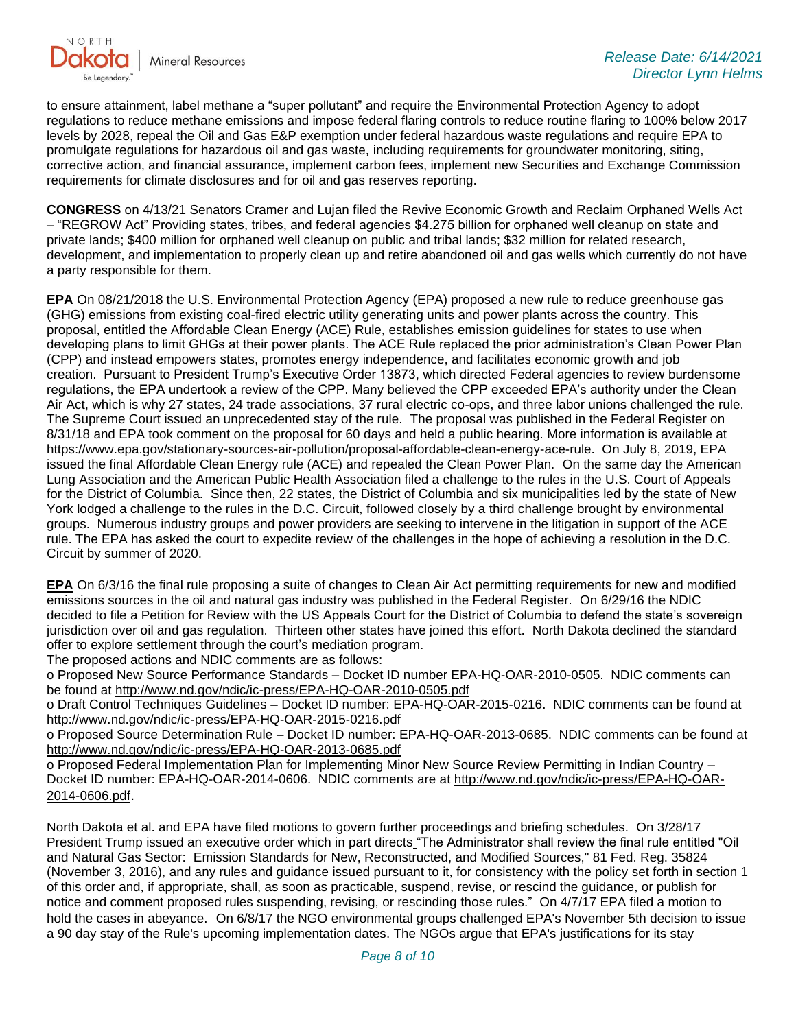

to ensure attainment, label methane a "super pollutant" and require the Environmental Protection Agency to adopt regulations to reduce methane emissions and impose federal flaring controls to reduce routine flaring to 100% below 2017 levels by 2028, repeal the Oil and Gas E&P exemption under federal hazardous waste regulations and require EPA to promulgate regulations for hazardous oil and gas waste, including requirements for groundwater monitoring, siting, corrective action, and financial assurance, implement carbon fees, implement new Securities and Exchange Commission requirements for climate disclosures and for oil and gas reserves reporting.

**CONGRESS** on 4/13/21 Senators Cramer and Lujan filed the Revive Economic Growth and Reclaim Orphaned Wells Act – "REGROW Act" Providing states, tribes, and federal agencies \$4.275 billion for orphaned well cleanup on state and private lands; \$400 million for orphaned well cleanup on public and tribal lands; \$32 million for related research, development, and implementation to properly clean up and retire abandoned oil and gas wells which currently do not have a party responsible for them.

**EPA** On 08/21/2018 the U.S. Environmental Protection Agency (EPA) proposed a new rule to reduce greenhouse gas (GHG) emissions from existing coal-fired electric utility generating units and power plants across the country. This proposal, entitled the Affordable Clean Energy (ACE) Rule, establishes emission guidelines for states to use when developing plans to limit GHGs at their power plants. The ACE Rule replaced the prior administration's Clean Power Plan (CPP) and instead empowers states, promotes energy independence, and facilitates economic growth and job creation. Pursuant to President Trump's Executive Order 13873, which directed Federal agencies to review burdensome regulations, the EPA undertook a review of the CPP. Many believed the CPP exceeded EPA's authority under the Clean Air Act, which is why 27 states, 24 trade associations, 37 rural electric co-ops, and three labor unions challenged the rule. The Supreme Court issued an unprecedented stay of the rule. The proposal was published in the Federal Register on 8/31/18 and EPA took comment on the proposal for 60 days and held a public hearing. More information is available at [https://www.epa.gov/stationary-sources-air-pollution/proposal-affordable-clean-energy-ace-rule.](https://gcc02.safelinks.protection.outlook.com/?url=https%3A%2F%2Fwww.epa.gov%2Fstationary-sources-air-pollution%2Fproposal-affordable-clean-energy-ace-rule&data=04%7C01%7Ckahaarsager%40nd.gov%7C2d70ace297704f8a9fd208d92f5faef1%7C2dea0464da514a88bae2b3db94bc0c54%7C0%7C0%7C637592910275140268%7CUnknown%7CTWFpbGZsb3d8eyJWIjoiMC4wLjAwMDAiLCJQIjoiV2luMzIiLCJBTiI6Ik1haWwiLCJXVCI6Mn0%3D%7C1000&sdata=wBQ9e5nNMy6H7%2FgwvbVP2H8QZz9qFsaW6eC4pNEAtro%3D&reserved=0) On July 8, 2019, EPA issued the final Affordable Clean Energy rule (ACE) and repealed the Clean Power Plan. On the same day the American Lung Association and the American Public Health Association filed a challenge to the rules in the U.S. Court of Appeals for the District of Columbia. Since then, 22 states, the District of Columbia and six municipalities led by the state of New York lodged a challenge to the rules in the D.C. Circuit, followed closely by a third challenge brought by environmental groups. Numerous industry groups and power providers are seeking to intervene in the litigation in support of the ACE rule. The EPA has asked the court to expedite review of the challenges in the hope of achieving a resolution in the D.C. Circuit by summer of 2020.

**EPA** On 6/3/16 the final rule proposing a suite of changes to Clean Air Act permitting requirements for new and modified emissions sources in the oil and natural gas industry was published in the Federal Register. On 6/29/16 the NDIC decided to file a Petition for Review with the US Appeals Court for the District of Columbia to defend the state's sovereign jurisdiction over oil and gas regulation. Thirteen other states have joined this effort. North Dakota declined the standard offer to explore settlement through the court's mediation program.

The proposed actions and NDIC comments are as follows:

o Proposed New Source Performance Standards – Docket ID number EPA-HQ-OAR-2010-0505. NDIC comments can be found at<http://www.nd.gov/ndic/ic-press/EPA-HQ-OAR-2010-0505.pdf>

o Draft Control Techniques Guidelines – Docket ID number: EPA-HQ-OAR-2015-0216. NDIC comments can be found at <http://www.nd.gov/ndic/ic-press/EPA-HQ-OAR-2015-0216.pdf>

o Proposed Source Determination Rule – Docket ID number: EPA-HQ-OAR-2013-0685. NDIC comments can be found at <http://www.nd.gov/ndic/ic-press/EPA-HQ-OAR-2013-0685.pdf>

o Proposed Federal Implementation Plan for Implementing Minor New Source Review Permitting in Indian Country – Docket ID number: EPA-HQ-OAR-2014-0606. NDIC comments are at [http://www.nd.gov/ndic/ic-press/EPA-HQ-OAR-](http://www.nd.gov/ndic/ic-press/EPA-HQ-OAR-2014-0606.pdf)[2014-0606.pdf](http://www.nd.gov/ndic/ic-press/EPA-HQ-OAR-2014-0606.pdf).

North Dakota et al. and EPA have filed motions to govern further proceedings and briefing schedules. On 3/28/17 President Trump issued an executive order which in part directs "The Administrator shall review the final rule entitled "Oil and Natural Gas Sector: Emission Standards for New, Reconstructed, and Modified Sources," 81 Fed. Reg. 35824 (November 3, 2016), and any rules and guidance issued pursuant to it, for consistency with the policy set forth in section 1 of this order and, if appropriate, shall, as soon as practicable, suspend, revise, or rescind the guidance, or publish for notice and comment proposed rules suspending, revising, or rescinding those rules." On 4/7/17 EPA filed a motion to hold the cases in abeyance. On 6/8/17 the NGO environmental groups challenged EPA's November 5th decision to issue a 90 day stay of the Rule's upcoming implementation dates. The NGOs argue that EPA's justifications for its stay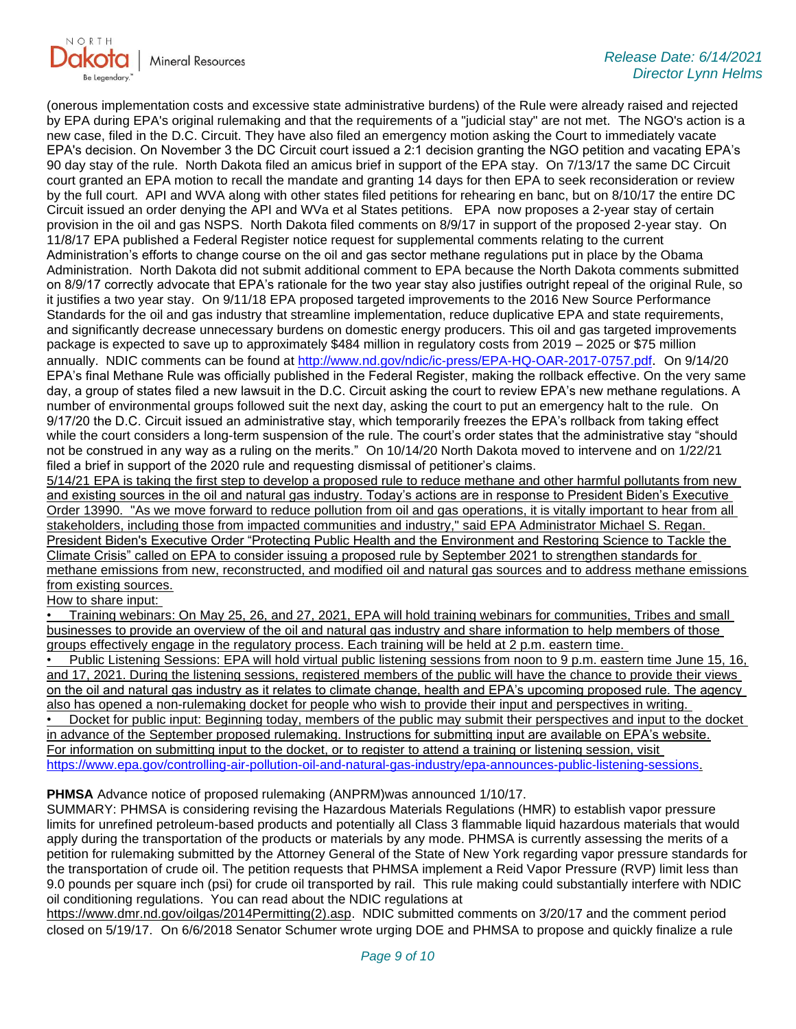

(onerous implementation costs and excessive state administrative burdens) of the Rule were already raised and rejected by EPA during EPA's original rulemaking and that the requirements of a "judicial stay" are not met. The NGO's action is a new case, filed in the D.C. Circuit. They have also filed an emergency motion asking the Court to immediately vacate EPA's decision. On November 3 the DC Circuit court issued a 2:1 decision granting the NGO petition and vacating EPA's 90 day stay of the rule. North Dakota filed an amicus brief in support of the EPA stay. On 7/13/17 the same DC Circuit court granted an EPA motion to recall the mandate and granting 14 days for then EPA to seek reconsideration or review by the full court. API and WVA along with other states filed petitions for rehearing en banc, but on 8/10/17 the entire DC Circuit issued an order denying the API and WVa et al States petitions. EPA now proposes a 2-year stay of certain provision in the oil and gas NSPS. North Dakota filed comments on 8/9/17 in support of the proposed 2-year stay. On 11/8/17 EPA published a Federal Register notice request for supplemental comments relating to the current Administration's efforts to change course on the oil and gas sector methane regulations put in place by the Obama Administration. North Dakota did not submit additional comment to EPA because the North Dakota comments submitted on 8/9/17 correctly advocate that EPA's rationale for the two year stay also justifies outright repeal of the original Rule, so it justifies a two year stay. On 9/11/18 EPA proposed targeted improvements to the 2016 New Source Performance Standards for the oil and gas industry that streamline implementation, reduce duplicative EPA and state requirements, and significantly decrease unnecessary burdens on domestic energy producers. This oil and gas targeted improvements package is expected to save up to approximately \$484 million in regulatory costs from 2019 – 2025 or \$75 million annually. NDIC comments can be found at<http://www.nd.gov/ndic/ic-press/EPA-HQ-OAR-2017-0757.pdf>. On 9/14/20 EPA's final Methane Rule was officially published in the Federal Register, making the rollback effective. On the very same day, a group of states filed a new lawsuit in the D.C. Circuit asking the court to review EPA's new methane regulations. A number of environmental groups followed suit the next day, asking the court to put an emergency halt to the rule. On 9/17/20 the D.C. Circuit issued an administrative stay, which temporarily freezes the EPA's rollback from taking effect while the court considers a long-term suspension of the rule. The court's order states that the administrative stay "should not be construed in any way as a ruling on the merits." On 10/14/20 North Dakota moved to intervene and on 1/22/21 filed a brief in support of the 2020 rule and requesting dismissal of petitioner's claims.

5/14/21 EPA is taking the first step to develop a proposed rule to reduce methane and other harmful pollutants from new and existing sources in the oil and natural gas industry. Today's actions are in response to President Biden's Executive Order 13990. "As we move forward to reduce pollution from oil and gas operations, it is vitally important to hear from all stakeholders, including those from impacted communities and industry," said EPA Administrator Michael S. Regan. President Biden's Executive Order "Protecting Public Health and the Environment and Restoring Science to Tackle the Climate Crisis" called on EPA to consider issuing a proposed rule by September 2021 to strengthen standards for methane emissions from new, reconstructed, and modified oil and natural gas sources and to address methane emissions from existing sources.

### How to share input:

• Training webinars: On May 25, 26, and 27, 2021, EPA will hold training webinars for communities, Tribes and small businesses to provide an overview of the oil and natural gas industry and share information to help members of those groups effectively engage in the regulatory process. Each training will be held at 2 p.m. eastern time.

• Public Listening Sessions: EPA will hold virtual public listening sessions from noon to 9 p.m. eastern time June 15, 16, and 17, 2021. During the listening sessions, registered members of the public will have the chance to provide their views on the oil and natural gas industry as it relates to climate change, health and EPA's upcoming proposed rule. The agency also has opened a non-rulemaking docket for people who wish to provide their input and perspectives in writing.

• Docket for public input: Beginning today, members of the public may submit their perspectives and input to the docket in advance of the September proposed rulemaking. Instructions for submitting input are available on EPA's website. For information on submitting input to the docket, or to register to attend a training or listening session, visit [https://www.epa.gov/controlling-air-pollution-oil-and-natural-gas-industry/epa-announces-public-listening-sessions.](https://gcc02.safelinks.protection.outlook.com/?url=https%3A%2F%2Fwww.epa.gov%2Fcontrolling-air-pollution-oil-and-natural-gas-industry%2Fepa-announces-public-listening-sessions&data=04%7C01%7Ckahaarsager%40nd.gov%7C2d70ace297704f8a9fd208d92f5faef1%7C2dea0464da514a88bae2b3db94bc0c54%7C0%7C0%7C637592910275150226%7CUnknown%7CTWFpbGZsb3d8eyJWIjoiMC4wLjAwMDAiLCJQIjoiV2luMzIiLCJBTiI6Ik1haWwiLCJXVCI6Mn0%3D%7C1000&sdata=fzKOBXtO6HAuevuMsMXE5459BKqrrFtH4J6jG6rPxNM%3D&reserved=0)

### **PHMSA** Advance notice of proposed rulemaking (ANPRM)was announced 1/10/17.

SUMMARY: PHMSA is considering revising the Hazardous Materials Regulations (HMR) to establish vapor pressure limits for unrefined petroleum-based products and potentially all Class 3 flammable liquid hazardous materials that would apply during the transportation of the products or materials by any mode. PHMSA is currently assessing the merits of a petition for rulemaking submitted by the Attorney General of the State of New York regarding vapor pressure standards for the transportation of crude oil. The petition requests that PHMSA implement a Reid Vapor Pressure (RVP) limit less than 9.0 pounds per square inch (psi) for crude oil transported by rail. This rule making could substantially interfere with NDIC oil conditioning regulations. You can read about the NDIC regulations at

[https://www.dmr.nd.gov/oilgas/2014Permitting\(2\).asp.](https://www.dmr.nd.gov/oilgas/2014Permitting(2).asp) NDIC submitted comments on 3/20/17 and the comment period closed on 5/19/17. On 6/6/2018 Senator Schumer wrote urging DOE and PHMSA to propose and quickly finalize a rule